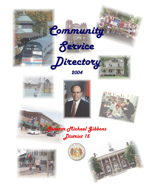











**Senator Michael Gibbons** 

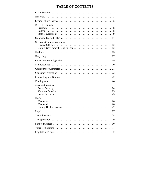# **TABLE OF CONTENTS**

| 3                                                                         |
|---------------------------------------------------------------------------|
| 3                                                                         |
| 5                                                                         |
| Elected Officials:<br>8<br>8<br>9                                         |
| 11                                                                        |
| St. Louis County Government:<br>12<br>County Government Departments<br>12 |
|                                                                           |
| 17                                                                        |
| 19                                                                        |
| 20                                                                        |
| 21                                                                        |
| 22                                                                        |
| 22                                                                        |
| 24                                                                        |
| <b>Financial Services:</b><br>24<br>25<br>25                              |
| Health:<br>26<br>26<br>27                                                 |
| 27                                                                        |
| 28                                                                        |
| 29                                                                        |
| 30                                                                        |
| 31                                                                        |
| 32                                                                        |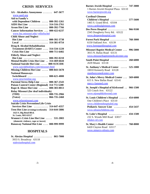# **CRISIS SERVICES**

<span id="page-2-0"></span>

| AA - Alcoholics Anonymous  647-3677                |
|----------------------------------------------------|
| www.aastl.org                                      |
| Aid to Family's                                    |
| with Dependent Children  800-392-1261              |
| AIDS Hot Line  314-516-2761                        |
| Arson Hot Line  800-392-7766                       |
| Cancer Information Services  800-422-6237          |
| www.hsc.missouri.edu/~ellisfischel                 |
| <b>Child Abuse and Neglect</b>                     |
| Hot Line<br>800-392-3738                           |
| 314-381-0754<br>$Local$                            |
| Drug & Alcohol Rehabilitation                      |
| Treatment (DART) Center<br>314-534-1220            |
| <b>Crisis Hot Line</b><br>.<br>800-711-6402        |
| <b>Elderly Abuse and Neglect</b>                   |
| Hot Line  800-392-0210                             |
| Mental Health Crisis Hot Line  314-469-6644        |
| National Suicide Hot Line  800-SUICIDE             |
| www.suicidehotlines.com/missouri.html              |
| Missing Children Hot Line  800-843-5678            |
| <b>National Runaways</b>                           |
| $\cdots \cdots \cdots$ 800-621-4000<br>Switchboard |
| www.nrscrisisline.org                              |
| Parental Stress Help Line  800-367-2543            |
| Poison Control Center (Regional) 314 772-5200      |
| Rape & Abuse Hot Line  800-303-0013                |
| <b>Relay Missouri (for deaf individuals)</b>       |
| $(TDD)$ 800-735-2966                               |
| (Voice)  866-735-2460                              |
| www.relaymissouri.com                              |
| <b>Suicide Crisis Prevention/Life Crisis</b>       |
| Services Hot Line  314-647-4357                    |
| Teen Hot Line (evenings/weekends) 314-644-5886     |
| 1423 S. Big Bend Blvd.                             |
| <b>St. Louis, MO 63117</b>                         |
| Women's Crisis Line Hot Line  531-2003             |
| (domestic violence, rape or incest)                |
| Runaway National Hot Line  800-999-9999            |

# **HOSPITALS**

**St. Alexius Hospital . . . . . . . . . . . . . . 865-7000** 3933 S. Broadway 63118 [stalexiushospital.com](http://www.stalexiushospital.com)

| Barnes Jewish Hospital  747-3000<br>1 Barnes Jewish Hospital Plaza 63110<br>www.barnesjewish.org                 |                   |
|------------------------------------------------------------------------------------------------------------------|-------------------|
| <b>Cardinal Glennon</b><br>Children's Hospital  577-5600<br>1465 S. Grand Blvd. 63104<br>www.cardinalglennon.com |                   |
| Des Peres Hospital<br>2345 Dougherty Ferry Rd. 63122<br>www.despereshospital.com                                 | $\ldots$ 966-9100 |
| Forest Park Hospital  768-3000<br>6150 Oakland Ave. 63139<br>www.forestparkhospital.com                          |                   |
| Missouri Baptist Medical Center  996-5000<br>3015 N. Ballas Road 63131<br>www.missouribaptistmedicalcenter.org   |                   |
| South Point Hospital  268-6000<br>2639 Miami 63118                                                               |                   |
| St. Anthony's Medical Center  525-1000<br>10010 Kennerly Road 63128<br>stanthonysmedcenter.com                   |                   |
| St. John's Mercy Medical Center  569-6000<br>615 S. New Ballas Road 63141<br>mercy-fammed.com                    |                   |
| St. Joseph's Hospital of Kirkwood  966-1500<br>525 Couch Ave. 63122<br>www.stjosephkirkwood.com                  |                   |
| St. Louis Children's Hospital  454-6000<br>One Children's Place 63110<br>www.childrenshospitalstl.org            |                   |
| $\cdots \cdots \cdots$ 454-5437<br><b>Pediatric Answer Line</b><br>www.stlouischildrens.org                      |                   |
| St. Luke's Hospital  434-1500<br>232 S. Woods Mill Road 63017<br>stlukes-stl.com                                 |                   |
| <b>St. Mary's Health Center  768-8000</b><br>6420 Clayton Road 63117                                             |                   |

 [www.stmarys-stlouis.com](http://www.stmarys-stlouis.com)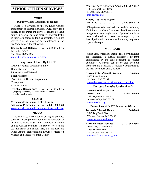# <span id="page-3-0"></span>**SENIOR CITIZEN SERVICES**

#### **CORP**

#### **(County Older Resident Programs)**

 CORP is a division of the St. Louis County Department of Human Services. CORP provides a variety of programs and services designed to help adults 60 years of age and older live independently in their own homes as long as possible. If you are interested in participating or volunteering in the program, contact the following:

# **Central Info & Referral ....... 314-615-4516**

121 S. Meramec St. Louis, MO 63105 [www.stlouisco.com/dhs/corp.html](http://www.stlouisco.com/dhs/corp.html)

## **Programs Offered By CORP**

Crime Prevention and Home Safety Home Care and Repair Information and Referral Legal Assistance Tax & Circuit Breaker Preparation Transportation Visitor/Connect

**Telephone Reassurance . . . . . . . . . . 615-4516** (Regularly scheduled phone calls between the elderly to make sure all is well)

#### **CLAIM**

**Missouri's Free Senior Health Insurance**

**Assistance Program . . . . . . . . . . . 800-390-3330** [www.mpcrf.org/beneficiaries/medicare\\_help.asp](http://www.mpcrf.org/beneficiaries/medicare_help.asp)

## **MEAAA**

 The Mid-East Area Agency on Aging provides services and programs for adults 60 years or older of all income levels in St. Louis, Jefferson, Franklin and St. Charles counties. The services offered are too numerous to mention here, but included are Older Adults Transportation (OATS), Meals on Wheels, and access to Senior Centers.

# **Mid-East Area Agency on Aging . 636-207-0847**

 14535 Manchester Road Manchester, MO 63011  [mid-eastaaa.org](http://www.mid-eastaaa.org)

#### **Elderly Abuse and Neglect Hot Line . . . . . . . . . . . . . . . . . . . 800-392-0210**

 If help is needed to tend to basic needs in the home, if minimum standards for care or cleanliness are not being met in a nursing home, or if you feel you have been swindled or taken advantage of, an investigation will be made, and you may request a copy of the report.

# **MEDICAID**

 Often a senior citizen's income is at a level eligible for Medicaid, a health assistance program administered by the state according to federal guidelines. A person can be covered by both Medicare and Medicaid if eligibility requirements are met. For information, contact

# **Missouri Div. of Family Services .... 426-9600**

 9900 Page Avenue St. Louis, MO 63132

 [www.dss.mo.gov/cd/office/stlouiscounty.htm](http://www.dss.mo.gov/cd/office/stlouiscounty.htm)

# *Day care facilities for the elderly*

### **Missouri Adult Day Care**

 **Association . . . . . . . . . . . . . . . . . 573-634-3566** 2420 Hyde Park, Ste. A Jefferson City, MO 65109  [www.moadca.org](http://www.moadca.org)

# *Centers located in 15TH Senatorial District*

**Bethesda Dilworth Home . . . . . . . . . 968-5460** 9645 Big Bend Blvd. Webster Groves, MO 63122  [www.bethesdahealth.org](http://www.bethesdahealth.org)

### **Cardinal Ritter Institute . . . . . . . . . . 962-7501** Adult Day Care Program 7663 Watson Road Shrewsbury, MO 63119  [www.ccstl.org/cardinal](http://www.ccstl.org/cardinal_ritter)\_ritter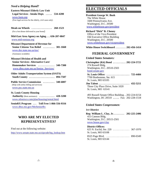# <span id="page-4-0"></span>*Need a Helping Hand?*

**Eastern Missouri Elderly Law Unit Legal Services - Intake Dept. ..... 534-4200**  [www.lsem.org](http://www.lsem.org) (Free legal services for the elderly, civil cases only)

**Meals on Wheels ................ 268-1523** (For a hot dinner delivered to your home)

**Mid-East Area Agency on Aging . . . 636-207-0847** [www.mid-eastaaa.org](http://www.mid-eastaaa.org)

**Missouri Department of Revenue for Senior Citizens Tax Relief ......... 301-1660**  [www.dor.state.mo.us/tax/](http://www.dor.state.mo.us/tax/) (Assistance available)

**Missouri Division of Health and Senior Services- Alternative Care/ Homemaker Services ............. 340-7300**  [www.dhss.state.mo.us/Senior\\_Services/](http://www.dhss.state.mo.us/Senior_Services/)

**Older Adults Transportation System (OATS) South County . . . . . . . . . . . . . . . . . . . . 894-7507**

**Public Service Commission ......... 340-6807** (Help with utility billing and services)  [www.psc.state.mo.us](http://www.psc.state.mo.us)

#### **St. Louis County Housing**

 **Authority** (Rent assistance) **............ 428-3200**  [www.stlouisco.com/plan/housing/rental.html](http://www.stlouisco.com/plan/housing/rental.html)

**SenioRX Program . . . Toll Free 1-866-556-9316** www.[dhss.mo.gov/MoSeniorRx](http://www.dhss.mo.gov/MoSeniorRx)

# **WHO ARE MY ELECTED REPRESENTATIVES?**

Find out at the following website: [http://www.senate.state.mo.us/zipcode/leg\\_lookup.htm](http://www.senate.state.mo.us/zipcode/leg_lookup.htm)

# **ELECTED OFFICIALS**

**President George W. Bush** The White House 1600 Pennsylvania Ave. Washington, D.C. 20500 [www.whitehouse.gov/president](http://www.whitehouse.gov/president)

#### **Richard "Dick" B. Cheney**

Office of the Vice-President Old Executive Office Building Washington, D.C. 20500  [www.whitehouse.gov/vicepresident](http://www.whitehouse.gov/vicepresident)

**White House Switchboard . . . . . . . . 202-456-1414**

# **FEDERAL GOVERNMENT**

### *United States Senators:*

**Christopher (Kit) Bond . . . . . . . . . . 202-224-5721** 274 Russell Bldg. Washington, D.C. 20510-2503  [bond.senate.gov](http://bond.senate.gov)  **St. Louis Office: .................. 725-4484** 7700 Bonhomme, Ste. 615 St. Louis, MO 63105 **Jim Talent . . . . . . . . . . . . . . . . . . . . . . . . 432-5211** Three City Place Drive, Suite 1020 St. Louis, MO 63141

 493 Russell Senate Office Building **.** 202-224-6154 Washington, DC 20510 **.....** Fax: 202-228-1518

### *United States Congressmen:*

## **1ST District**

**Rep. William L. Clay, Jr. ........ 202-225-2406** 415 Cannon Bldg. Washington, D.C. 20515-2501  [www.house.gov/clay](http://www.house.gov/clay)

# **District Offices:**

| St. Louis, MO 63108                              |  |
|--------------------------------------------------|--|
| 8525 Page Blvd.  890-0349<br>St. Louis, MO 63144 |  |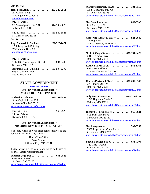#### <span id="page-5-0"></span>**2ND District**

**Rep. Todd Akin . . . . . . . . . . . . . . . 202-225-2561** 117 Cannon Bldg. Washington, D.C. 20515  [www.house.gov/akin](http://www.house.gov/akin)

 **District Office:** 301 Sovereign Ct., Ste. 201 ....... 314-590-0029 Ballwin, MO 63011

820 S. Main ................... 636-949-6826 St. Charles, MO 63301

# **3RD District**

**Rep. Richard A. Gephardt . . . . . . . 202-225-2671** 1236 Longworth Building Washington, D.C. 20515  [dickgephardt.house.gov](http://dickgephardt.house.gov)

#### **District Offices:**

 11140 S. Towne Square, Ste. 201 ..... 894-3400 St. Louis, MO 63123

 Boatman's Bank Building . . . . . . . 636-937-6399 998 E. Gannon Drive Festus, MO 63028

# **STATE GOVERNMENT**

# **[www.state.mo.us](http://www.state.mo.us)**

### **15TH SENATORIAL DISTRICT MISSOURI STATE SENATOR**

**Michael R. Gibbons . . . . . . . . . . . . 573-751-2853** State Capitol, Room 226 Jefferson City, MO 65101

[www.senate.state.mo.us/gibbons](http://www.senate.state.mo.us/gibbons)

 District Office .................... 966-2526 148 W. Adams Kirkwood, MO 63122

### **15TH SENATORIAL DISTRICT MISSOURI STATE REPRESENTATIVES**

You may write to your state representative at the following Jefferson City address:

> House Post Office State Capitol Jefferson City, MO 65101

Listed below are the names and home addresses of your area state representatives:

**Michael Vogt- Dist. 66 ............... 631-0828** 6035 Weber Road St. Louis, MO 63123 [www.house.state.mo.us/bills041/member/mem066.htm](http://www.house.state.mo.us/bills041/member/mem066.htm)

| Margaret Donnelly-Dist. 73  781-8555                                          |
|-------------------------------------------------------------------------------|
| 130 S. Bemiston, Ste. 706                                                     |
| St. Louis, MO 63105                                                           |
| www.house.state.mo.us/bills041/member/mem073.htm                              |
| Jim Lembke-Dist. 85 845-8508                                                  |
| 812 Ann Lynn Ct                                                               |
| St. Louis, MO 63125                                                           |
| www.house.state.mo.us/bills041/member/mem085.htm                              |
| Catherine Hanaway-Dist. 87  821-2040                                          |
| 10 Ridgeline                                                                  |
| Warson Woods, MO 63122                                                        |
| www.house.state.mo.us/bills041/member/mem087.htm                              |
| Neal St. Onge-Dist. 88 636-394-2420                                           |
| 281 Geremma Drive                                                             |
| Ballwin, MO 63011                                                             |
| www.house.state.mo.us/bills041/member/mem088.htm                              |
|                                                                               |
| Kathlyn Fares-Dist. 91  968-1766                                              |
| 659 West Kirkham                                                              |
| Webster Groves, MO 63119                                                      |
| www.house.state.mo.us/bills041/member/mem091.htm                              |
| Charles Portwood-Dist. 92  636-230-0142                                       |
| 370 Stormy Oak Dr.                                                            |
| Ballwin, MO 63021                                                             |
| www.house.state.mo.us/bills041/member/mem092.htm                              |
|                                                                               |
| Jody Stefanick-Dist. 93  636-227-9787                                         |
| 1740 Highview Circle Ct.                                                      |
| Ballwin, MO 63021                                                             |
| www.house.state.mo.us/bills041/member/mem093.htm                              |
| Richard G. Byrd-Dist. 94 $\ldots$<br>966-6621                                 |
| 815 Twin Pine Drive                                                           |
| Kirkwood, MO 63122                                                            |
| www.house.state.mo.us/bills041/member/mem094.htm                              |
| $\text{Jim Avery-Dist. 95} \ \dots \dots \dots \dots \dots \ 302\text{-}5553$ |
| 7939 Royal Arms Court Apt. 4                                                  |
| Crestwood, MO 63123                                                           |
| www.house.state.mo.us/bills041/member/mem095.htm                              |
| Patricia Yeager-Dist. 96  631-7194                                            |
| 729 Reed Avenue                                                               |
| St. Louis, MO 63125                                                           |
| www.house.state.mo.us/bills041/member/mem096.htm                              |
|                                                                               |
|                                                                               |
|                                                                               |
|                                                                               |
|                                                                               |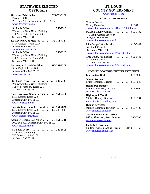# **STATEWIDE ELECTED OFFICIALS**

<span id="page-6-0"></span>**Governor Bob Holden ........... 573-751-3222** Executive Office P.O. Box 720, Jefferson City, MO 65102  [www.gov.state.mo.us](http://www.gov.state.mo.us)

 **St. Louis Office .................. 340-7518** Wainwright State Office Building 111 N. Seventh St., Suite 929 St. Louis, MO 63101

**Lt. Governor Joe Maxwell . . . . . . . . 573-751-4727** State Capitol, Room 121A Jefferson City, MO 65101  [www.ltgov.state.mo.us](http://www.ltgov.state.mo.us)

 **St. Louis Office: .................. 340-7228** Wainwright State Office Building 111 N. Seventh St., Suite 259 St. Louis, MO 63101

**Secretary of State Matt Blunt .... 573-751-2379** State Capitol, Room 208 Jefferson City, MO 65101  [www.sos.state.mo.us](http://www.sos.state.mo.us)

 **St. Louis Office: .................. 340-7490** Wainwright State Office Building 111 N. Seventh St., Room 225 St. Louis, MO 63101

**State Treasurer Nancy Farmer . . . 573-751-2411** State Capitol, Room 229 Jefferson City, MO 65101  [www.sto.state.mo.us](http://www.sto.state.mo.us)

**State Auditor Claire McCaskill . . . 573-751-4824** State Capitol, Room 224 ......... 800-347-8597 Jefferson City, MO 65101  [www.auditor.state.mo.us](http://www.auditor.state.mo.us)

**Attorney General Jay Nixon ..... 573-751-3321** P.O. Box 899, Jefferson City, MO 65102  [www.ago.state.mo.us](http://www.ago.state.mo.us)

 **St. Louis Office: .................. 340-6816** Laclede Gas Building 720 Olive St., Suite 2150 St. Louis, MO 63101

# **ST. LOUIS COUNTY GOVERNMENT**

[www.stlouisco.com](http://www.stlouisco.com)

## **ELECTED OFFICIALS**

Charles Dooley County Executive .................. 615-7016  [www.stlouisco.com/budget](http://www.stlouisco.com/budget/Budget2004_Final/)/Budget2004\_Final/ St. Louis County Council ............ 615-5432 41 South Central, 1st floor Clayton, MO 63105  [www.stlouisco.com/council](http://www.stlouisco.com/council) John Campisi, 6TH District ........... 615-5442 41 South Central St. Louis, MO 63105  [www.stlouisco.com/council/district6.html](http://www.stlouisco.com/council/district6.html) Greg Quinn, 7TH District ............ 615-5443 41 South Central St. Louis, MO 63105  [www.stlouisco.com/council/district7.html](http://www.stlouisco.com/council/district7.html)

# **COUNTY GOVERNMENT DEPARTMENTS**

**Information Desk** ................. 615-5000 **Administration:** Bruce Kendrick, Director ............ 615-7046 **Health Department:** Jacquelynn Meeks, Director .......... 615-1600 [www.stlouisco.com/doh](http://www.stlouisco.com/doh) **Highways & Traffic**:

Michael Dooley, Director ............... 615-8504 [www.stlouisco.com/hwyweb](http://www.stlouisco.com/hwyweb)

**Human Services:** Marilyn Robinson, Director .......... 615-4485 [www.stlouisco.com/dhs](http://www.stlouisco.com/dhs)

**Metropolitan Sewer District:** Jeffrey Theerman, Exec. Director ...... 768-6200 [www.msd.st-louis.mo.us](http://www.msd.st-louis.mo.us)

**Parks & Recreation:** Lindsey Swanick, Acting Director . 314-615-5454 [www.stlouisco.com/parks](http://www.stlouisco.com/parks)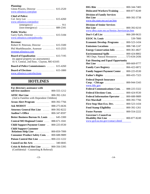<span id="page-7-0"></span>

# **HOTLINES**

■

≡

| For directory assistance with                                                                 |              |
|-----------------------------------------------------------------------------------------------|--------------|
| toll-free numbers  800-555-1212                                                               |              |
| <b>AFDC Hot Line</b> 800-392-1261<br>(Aid to Families with Dependent Children)                |              |
| Arson Alert Program                                                                           | 800-392-7766 |
| Ask MODOT                                                                                     | 888-275-6636 |
| <b>Attorney General Hot Line Allentia</b>                                                     | 800-392-8222 |
| Auditor's Office                                                                              | 800-347-8597 |
| Better Business Bureau-St. Louis  645-3300                                                    |              |
| Central MO Regional Center  888-671-1041                                                      |              |
| Child Support Payment Center  800-225-0530                                                    |              |
| <b>Child Support Customer</b><br><b>Relations Help Line  800-859-7999</b>                     |              |
| <b>Consumer Product Safety Com.</b> 800-688-9889                                              |              |
| Poison Control Hot Line  800-222-1222                                                         |              |
|                                                                                               |              |
| <b>Crisis &amp; Referral Hot Line  800-356-5395</b><br>(Confidential - Counseling & Referral) |              |

| DIG Rite                                                | 800-344-7483                 |
|---------------------------------------------------------|------------------------------|
| Dislocated Workers/Training                             | 800-877-8249                 |
| <b>Division of Family Services</b>                      |                              |
| Hot Line<br>$\ldots$                                    | 800-392-3738                 |
| www.dss.state.mo.us/can.htm                             |                              |
| <b>Division of Senior Services</b>                      |                              |
| Hot Line<br>www.dhss.state.mo.us/Senior_Services/ps.htm | 800-392-0210                 |
| Don't Call List                                         | 866-289-9633                 |
| <b>EEOC St. Louis</b> 539-7800                          |                              |
| <b>Economic Develop. Programs</b>                       | 800-523-1434                 |
| Emissions Locations                                     | 888-748-1247                 |
|                                                         |                              |
| <b>Energy Conservation Info</b>                         | 800-361-4827                 |
| Environmental Spills<br>MO Dept. Natural Resources      | 800-424-8802<br>573-634-2436 |
| <b>Fair Housing and Equal Opportunity</b>               |                              |
| <b>Hot Line</b>                                         | 800-669-9777                 |
| Family Care Registry                                    | 866-422-6872                 |
| <b>Family Support Payment Center</b>                    | 800-225-0530                 |
| Father's Rights                                         | 800-435-7323                 |
| <b>Federal Deposit Insurance</b>                        |                              |
| $Corp. - Chicago$                                       | 800-944-5343                 |
| www.fdic.gov<br><b>Federal Communications Com.</b>      |                              |
|                                                         | 888-225-5322                 |
| Federal Elections Com.                                  | 800-424-9530                 |
| <b>Federal Information Operator </b>                    | 800-688-9889                 |
| Fire Marshall                                           | 800-392-7766                 |
| First Stop Shot-Eco. Dev.                               | 800-523-1434                 |
| Food Stamp Eligibility                                  | 800-392-1261                 |
| Foster Parents                                          | 800-554-2222                 |
| <b>Governor's Council on</b>                            | 800-877-8249                 |
| Disability Hot Line<br>www.gcd.oa.mo.gov/contact.shtml  |                              |
|                                                         |                              |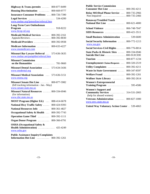| Highway $\&$ Trans./permits $\dots$<br>800-877-8499                                                            |
|----------------------------------------------------------------------------------------------------------------|
| Housing Discrimination  800-669-9777                                                                           |
| Insurance-Consumer Problems  800-726-7390                                                                      |
| Legal Services<br>534-4200                                                                                     |
| www.mobar.org/lpmonline/referral.htm                                                                           |
| <b>Long-Term Care Ombudsman</b>                                                                                |
| www.ltcop-stl.org                                                                                              |
| Medicaid-Medical Services<br>800-392-2161<br>Appeals/Reviews 800-392-8030                                      |
|                                                                                                                |
| Medicaid-Providers<br>800-392-0938                                                                             |
| <b>Medicare Information</b><br>800-633-4227<br>www.momedicare.com                                              |
| Missouri Bar Lawyer Referral  573-636-3635                                                                     |
| www.mobar.net/pamphlet/referral.htm                                                                            |
| <b>Missouri Commission</b>                                                                                     |
| Missouri Dental Association  573-634-3436                                                                      |
|                                                                                                                |
| www.modental.org                                                                                               |
| Missouri Medical Association  573-636-5151                                                                     |
| www.msma.org                                                                                                   |
| Missouri Senate Hot Line  800-877-5982<br>(bill tracking information - Jan.- May)                              |
| www.senate.state.mo.us<br>Missouri Natural Resources  800-334-6946<br>(for information)<br>www.dnr.state.mo.us |
| 888-414-6678                                                                                                   |
| <b>MOST Program (Higher Ed.)</b><br>800-424-9393                                                               |
| 800-361-4827                                                                                                   |
| National Hwy Traffic Safety<br><b>National Resources Info</b><br>800-392-7743                                  |
| Occupational Safety & Health                                                                                   |
| 800-392-1111                                                                                                   |
| <b>Operation Game Thief </b><br>Organ Donor Program  800-366-6791                                              |
| <b>OSHA (Occupational Safety &amp;</b><br>Health Administration)  425-4249<br>www.osha.gov                     |

| <b>Public Assistance Inquiry/Complaints</b> |              |
|---------------------------------------------|--------------|
| <b>Information Hot Line</b>                 | 800-392-1261 |

| <b>Public Service Commission</b>                                                                |
|-------------------------------------------------------------------------------------------------|
| Consumer Hot Line<br>800-392-4211                                                               |
| <b>Relay MO/Deaf Phone Service </b><br>800-735-2966<br>800-735-2466                             |
| Non-Impaired                                                                                    |
| <b>Runaway/Troubled Youth</b>                                                                   |
| National Hot Line<br>800-621-4000                                                               |
| School Violence<br>866-748-7047                                                                 |
| 800-421-3511<br><b>SIDS Resources</b>                                                           |
| <b>Small Business Administration</b> 539-6600                                                   |
| Social Security Information  800-772-1213<br>www.ssa.gov                                        |
| Social Services-Civil Rights  800-776-8014                                                      |
| State Parks & Historic Sites<br>800-334-6946<br>800-SUICIDE<br>Suicide Hot Line                 |
|                                                                                                 |
| 800-877-1234<br>Tourism                                                                         |
| Unemployment-Claims/Requests<br>800-320-2519                                                    |
| Utility Complaints<br>800-392-4211                                                              |
| Waste In State Government<br>800-347-8597                                                       |
| Welfare Fraud<br>800-392-1261                                                                   |
| 800-392-2614<br>Wolfner State Library                                                           |
| <b>Women's Entrepreneurial</b><br>Training Program  595-4586                                    |
| <b>Women's Support and</b><br><b>Community Services</b> 314-531-2003<br>(help for abused women) |
| Veterans Administration<br>800-827-1000                                                         |
| www.mvc.state.mo.us                                                                             |
| <b>United Way Voluntary Action Center . 539-4063</b>                                            |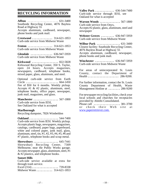# <span id="page-9-0"></span>**RECYCLING INFORMATION**

**Affton** ..................... 631-3400 Southside Recycling Center, 4076 Bayless Road at Highway 55 Accepts aluminum, cardboard, newspaper, phone books and junk mail.

**Crestwood . . . . . . . . . . . . . .** 314-621-1853 Curb-side service from Midwest Waste

**Fenton . . . . . . . . . . . . . . . . .** 314-621-1853 Curb-side service from Midwest Waste

**Glendale . . . . . . . . . . . . . . .** 636-947-5959 Curb-side service from Midwest Waste

**Kirkwood . . . . . . . . . . . . . . . . . .** 822-5828 Kirkwood Recycling Center, 350 S. Taylor, open 24 hours. Accepts magazines, newspapers, cardboard, telephone books, mixed paper, glass, aluminum, and steel.

Optional curb-side service from Earth Circle **......................** 664-1450 Fee of \$50 for 6 months. Weekly pickup. Accepts #1 & #2 plastic, aluminum, steel, telephone books, office paper, newspaper, junk mail, magazines, and glass.

**Manchester . . . . . . . . . . . . . . . . .** 567-1800 Curb-side service from IESI, See Oakland for what is accepted

# **Marlborough**

Recycling dumpster, 7826 Wimbeldon

**Oakland . . . . . . . . . . . . . . . . . . . .** 544-7400 Curb-side service from IESI. Weekly pickup. Accepts plastic bags, newspapers, magazines, catalogs, cardboard, paper bags, paperboard, white and colored paper, junk mail, glass, aluminum, steel, tin,  $\#1, \#2, \#3, \#4, \#5, \#6$  and #7 plastic, telephone books and scrap metal.

**Shrewsbury . . . . . . . . . . . . . . . . .** 645-7441 Shrewsbury Recycling Center, 7309 Melbourne, near the Public Works garage. Accepts newspaper, glass, aluminum, steel, #1 & #2 plastics, and telephone books.

# **Sunset Hills**

Curb-side service available at extra fee through trash service.

Excel (314) **..................** 739-8338 Midwest Waste **...........** 314-621-1853 **Valley Park . . . . . . . . . . . . .** 636-544-7400 Curb-side service through IESI, see Oakland for what is accepted

**Warson Woods . . . . . . . . . . . . . .** 567-1800 Curb-side service from Onyx, Accepts #2 plastic, glass, aluminum, steel and newspaper

**Webster Groves . . . . . . . . .** 636-947-5959 Curb-side service from Midwest Waste

**Wilbur Park . . . . . . . . . . . . . . . .** 631-3400 Closest facility: Southside Recycling Center, 4076 Bayless Road at Highway 55 Accepts aluminum, cardboard, newspaper, phone books and junk mail.

**Winchester . . . . . . . . . . . . .** 636-947-5959 Curb-side service from Midwest Waste

For areas of unincorporated St. Louis County, contact the Department of Health **.....................** 286-9200.

For further information, contact the St. Louis County Department of Health, Waste Management Hotline at **........** 286-9200

For newspaper recycling facilities, check your local schools and churches for receptacles provided by Abitibi Consolidated. Please call **..................** 381-3700 or check their Web site at [www.paperretriever.com.](http://www.paperretriever.com.)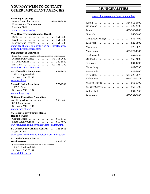# <span id="page-10-0"></span>**YOU MAY WISH TO CONTACT OTHER IMPORTANT AGENCIES**

### **Planning an outing?**

 National Weather Service ....... 636-441-8467 Forecasts and Temperatures Lambert Field [www.crh.noaa.gov/lsx](http://www.crh.noaa.gov/lsx)

#### **Vital Records, Department of Health**

 Birth . . . . . . . . . . . . . . . . . . . . . . . . 573-751-6387 Death ....................... 573-751-6387 Marriage and Divorce ......... 573-751-6387 [www.health.state.mo.us/BirthAndDeathRecords/](http://www.health.state.mo.us/BirthAndDeathRecords/) BirthAndDeathRecords.html

#### **Department of Insurance**

 (Regarding consumer inquiries and complaints involving insurance) Jefferson City Office ........... 573-751-2640 St. Louis Office ................... 340-6830 Hot Line . . . . . . . . . . . . . . . . . . . . 800-726-7390 [www.insurance.state.mo.us](http://www.insurance.state.mo.us)

### **AA-Alcoholics Anonymous** .......... 647-3677 2683 S. Big Bend Blvd. St. Louis, MO 63143 [www.aastl.org](http://www.aastl.org)

**Mental Health Association** .......... 773-1399 1905 S. Grand St. Louis, MO 63104 [www.mhagstl.org](http://www.mhagstl.org)

## **National Council on Alcoholism**

**and Drug Abuse** *(St. Louis Area)* ........ 962-3456 8790 Manchester St. Louis, MO 63144

## [www.ncada-stl.org](http://www.ncada-stl.org)

### **St. Louis County Family Mental Health Services** Central Office .................... 615-1760 South County Office ............... 615-4072 [www.stlouisco.com/doh/hlthctrs/fmh\\_ctr/fmh.html](http://www.stlouisco.com/doh/hlthctrs/fmh_ctr/fmh.html)

**St. Louis County Animal Control** .... 726-6655 South Office

[www.stlouisco.com/doh/environ/animals/animals.html](http://www.stlouisco.com/doh/environ/animals/animals.html)

### **St. Louis County Library**

**Headquarters** ..................... 994-3300 (Offers delivery services for shut-ins or handicapped) 1640 S. Lindbergh Blvd. St. Louis, MO 63131 [www.slcl.lib.mo.us](http://www.slcl.lib.mo.us)

# **MUNICIPALITIES**

[www.stlouisco.com/scripts/communities/](http://www.stlouisco.com/scripts/communities/)

| Glendale $\dots\dots\dots\dots\dots\dots\dots\dots\dots$<br>965-3600     |
|--------------------------------------------------------------------------|
| 842-4409<br>Grantwood Village                                            |
| Kirkwood<br>822-5802                                                     |
| Mackenzie  725-0625                                                      |
|                                                                          |
| Marlborough<br>962-5055                                                  |
| Oakland<br>965-4600                                                      |
| 631-1295<br>St. George $\dots \dots \dots \dots \dots \dots \dots \dots$ |
| 647-5795<br>$Shrewsburg$                                                 |
| Sunset Hills  849-3400                                                   |
| Twin Oaks  636-225-7873                                                  |
| Valley Park  636-225-5171                                                |
|                                                                          |
|                                                                          |
| Wilbur Park  631-3963                                                    |
|                                                                          |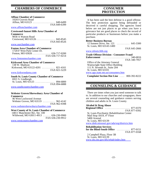# <span id="page-11-0"></span>**CHAMBERS OF COMMERCE**

### **Affton Chamber of Commerce**

| 10203 Gravois Road |  |
|--------------------|--|
| Affton, $MO$ 63123 |  |

FAX 849-6399

849-6499

# [www.afftonchamber.com](http://www.afftonchamber.com)

#### **Crestwood-Sunset Hills Area Chamber of**

**Commerce** 9058 A Watson Road Crestwood, MO 63126 .............. 843-8545 FAX 843-8526

#### [www.ourchamber.com](http://www.ourchamber.com)

| <b>Fenton Area Chamber of Commerce</b> |                  |
|----------------------------------------|------------------|
| 1720-F West Park Center Dr.            |                  |
|                                        |                  |
|                                        | FAX 636-717-0214 |

#### [www.fentonmochamber.com](http://www.fentonmochamber.com)

#### **Kirkwood Area Chamber of Commerce**

| Kirkwood, MO 63122-4201  821-4161 |
|-----------------------------------|
| FAX 821-5229                      |
|                                   |

#### [www.kirkwoodarea.com](http://www.kirkwoodarea.com)

|                   | <b>South St. Louis County Chamber of Commerce</b> |
|-------------------|---------------------------------------------------|
| 6921 S. Lindbergh |                                                   |
|                   |                                                   |
|                   | FAX 894-6888                                      |

[www.southcountychamber.com](http://www.southcountychamber.com)

#### **Webster Groves/Shrewsbury Area Chamber of Commerce**

 46 West Lockwood Avenue Webster Groves, MO 63119 ......... 962-4142 FAX 962-9398

#### [www.webstershrewsburychamber.com](http://www.webstershrewsburychamber.com)

#### **West County of St. Louis Chamber of Commerce** 14811 Manchester Rd., Ste. 100 Wildwood, MO 63011-4913 ...... 636-230-9900

FAX 636-230-9912

[www.westcountychamber.com](http://www.westcountychamber.com)

# **CONSUMER PROTECTION**

 It has been said the best defense is a good offense. The best protection against being defrauded or deceived is careful shopping. The agencies listed below are not just places to go when you have a grievance but are good places to check the record of particular products or businesses before you make a purchase.

#### **Better Business Bureau**

| 12 Sunnen Drive, Ste. 121                      | . 645-3300   |
|------------------------------------------------|--------------|
| St. Louis, MO 63143-1400                       |              |
|                                                | FAX 645-2666 |
| www.stlouis.bbb.org                            |              |
| <b>Trade Offense Division - Consumer Fraud</b> |              |
| <b>Enforcement</b>                             |              |
|                                                | FAX 340-7957 |
| Office of the Attorney General                 |              |
| Wainwright State Office Building               |              |
| 111 N. Seventh St., Suite 204                  |              |
| St. Louis, MO 63101                            |              |

[www.ago.state.mo.us/consumers.htm](http://www.ago.state.mo.us/consumers.htm)

 **Complaint Section Hot Line** .... 800-392-8222

# **COUNSELING & GUIDANCE**

 There are times when you just need someone to talk to. In addition to our churches and synagogues, there are several counseling and guidance centers serving children and adults in St. Louis County.

#### **Alcohol & Drug Abuse**

**Regional Office** ................... 877-0370 FAX 877-0392 St. Louis Psychiatric Rehabilitation Center Mail Stop  $A419$ ,  $4<sup>th</sup>$  Floor 5400 Arsenal St. Louis, MO 63139 [www.dmh.missouri.gov/ada/org/districts.htm](http://www.dmh.missouri.gov/ada/org/districts.htm)

### **Rehabilitation Services**

| for the Blind-South Office $\ldots \ldots \ldots$ 877-0151 |              |
|------------------------------------------------------------|--------------|
|                                                            | FAX 877-0168 |
| 2 Campbell Plaza, Floor 3B                                 |              |

 St. Louis, MO 63139 [www.dss.mo.gov/dfs/rehab/index.htm](http://www.dss.mo.gov/dfs/rehab/index.htm)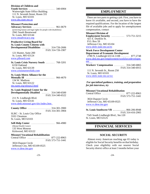### <span id="page-12-0"></span>**Division of Children and**

**Youth Services** .................... 340-6904 Wainwright State Office Building 111 N. Seventh Street, Room 331 St. Louis, MO 63101 [www.dss.state.mo.us](http://www.dss.state.mo.us)

#### **Missouri Protection and**

**Advocacy Services** ................. 961-0679 (protecting human and legal rights for people with disabilities) 2941 South Brentwood St. Louis, MO 63144 [www.moadvocacy.org](http://www.moadvocacy.org)

#### **Productive Living Board for St. Louis County Citizens with Developmental Disabilities** ...... 314-726-2606

 121 Hunter, Suite 200 St. Louis, MO 63124 [www.plboard.com](http://www.plboard.com)

**St. Louis Crisis Nursery South** ....... 768-3201 6150 Oakland St. Louis, MO 63139 [www.crisisnurserykids.com](http://www.crisisnurserykids.com)

#### **St. Louis Metro Alliance for the**

**Mentally Ill** ...................... 966-4670 134 W. Madison St. Louis, MO 63122 [mo.nami.org/stlouis2.html](http://mo.nami.org/stlouis2.html)

### **St. Louis Regional Center for the**

**Developmentally Disabled** ...... 314-340-6500 FAX 314-340-6522 211 N. Lindbergh Blvd.

FAX 314-726-1907

 St. Louis, MO 63141 www.dmh.missouri.gov[/slrc/index.htm](http://www.dmh.missouri.gov/slrc/index.htm)

#### **County Office** .................. 314-301-3900 FAX 314-301-3904

SLRC - St. Louis City Office 3101 Chouteau St. Louis, MO 63103

#### **Self-Help Center** .................. 966-4980

 (Mental Health Center) 135 West Monroe Kirkwood, MO 63122

#### **Missouri Vocational Rehabilitation** Central Office ................. 877-222-8963

FAX 573-751-1441

 3024 Dupont Circle Jefferson City, MO 65109-0525 [www.vr.dese.mo.gov](http://www.vr.dese.mo.gov)

# **EMPLOYMENT**

 There are two parts to getting a job. First, you have to know it's available, and second, you have to have the required qualifications. For the location of the largest file of available jobs and to apply for unemployment compensation, contact

#### **Missouri Division of**

**Employment Security** .......... 573-751-3215 421 E. Dunklin St. P.O. Box 59 Jefferson City, MO 65104 [www.dolir.state.mo.us/es](http://www.dolir.state.mo.us/es)

#### **Work Force Development Center Department of Economic Development**

 2780 N. Lindbergh 63114-1108 ....... 877-2748 www.ded.mo.gov[/employment/workforcedevelopm](http://www.ded.state.mo.us/employment/workforcedevelopment) ent **Workers' Compensation** ........ 314-340-6865

FAX 314-340-6915 111 N. Seventh St., Room 250

 St. Louis, MO 63101 [www.dolir.state.mo.us/wc](http://www.dolir.state.mo.us/wc)

### *For specialized guidance, training, and preparation for job interviews, try*

#### **Missouri Vocational Rehabilitation**

Central Office ................. 877-222-8963 FAX 573-751-1441

 3024 Dupont Circle Jefferson City, MO 65109-0525 [www.vr.dese.mo.gov](http://www.vr.dese.mo.gov)

**St. Louis Southwest VR . . . . . . . . . .** 866-206-8948 FAX 314-416-2905 7545 South Lindbergh Blvd., Ste.120 St. Louis, MO 63125

# **FINANCIAL SERVICES**

# **SOCIAL SECURITY**

 Almost every American reaching age 65 today is eligible for Social Security benefits on that birthday. Check your eligibility with our nearest Social Security district office at least 3 months before your

-23-

#### -24-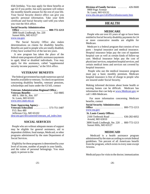<span id="page-13-0"></span>65th birthday. You may apply for these benefits at age 62 if you prefer, but early payment will reduce the monthly benefit amount for the rest of your life. Your Social Security district office can give you specific personal information. Take your birth certificate and Social Security card with you when you visit the SSA office.

#### **Social Security Administration**

 **Office . . . . . . . . . . . . . . . . . . . . . . 800-772-1213** 3890 South Lindbergh, Ste. 220 Sunset Hills, MO 63127 [www.ssa.gov](http://www.ssa.gov)

 The Social Security Office also makes determinations on claims for disability benefits. Benefits are paid to people who are totally disabled, if they have worked five of the last ten years.

 A new program has taken the place of the federal-state programs of public assistance payments to aged, blind or disabled individuals. You may apply for this assistance, called ''supplemental security income payments," at the SSA office.

#### **VETERANS' BENEFITS**

 The federal government has made numerous special benefits available to veterans. To check on questions concerning disability benefits, veterans' pensions, scholarships and loans under the GI bill, contact

#### **Veterans Administration Regional Office -**

**Veterans Benefits** ................ 552-9885 400 S. 18th St., Rm. 107 St. Louis, MO 63103 [www.mvc.state.mo.us](http://www.mvc.state.mo.us)

#### **State Approving Agency -**

**Veterans Education** ........... 573-751-3487 P.O. Box 480 Jefferson City, MO 65102 [dese.mo.gov/divcareered/veterans\\_ed\\_index.htm](http://dese.mo.gov/divcareered/veterans_ed_index.htm)

## **SOCIAL SERVICES**

 People who are without adequate means of support may be eligible for general assistance, aid to dependent children, food stamps, Medicaid, or other programs administered by the state Department of Social Services.

 Eligibility for these programs is determined by your level of income, number of people in your family, and the value of personal belongings. You must apply in person to the

**Division of Family Services** ....... 426-9600 9900 Page Avenue St. Louis, MO 63132 [www.dss.mo.gov/cd/office/stlouiscounty.htm](http://www.dss.mo.gov/cd/office/stlouiscounty.htm)

# **HEALTH**

### **MEDICARE**

 People who are over 65 years of age or have been entitled to Social Security disability payments for 24 or more consecutive months are eligible for Medicare.

 Medicare is a federal program that consists of two parts - hospital insurance and medical insurance. Hospital insurance helps pay the cost of inpatient hospital care as well as certain kinds of follow-up care. Medical insurance helps pay the cost of physicians' services, outpatient hospital services, and certain medical items and services not covered by hospital insurance.

 People who use the medical insurance program must pay a basic monthly premium. Medicare hospital insurance is free of charge to people who are insured under Social Security.

Making informed decisions about home health or nursing homes can be difficult. Medicare has information that can help a[t www.Medicare.gov o](http://www.Medicare.gov)r call 1-800-Medicare.

 For more information concerning Medicare benefits, contact

#### **Social Security Administration**

**Office** ...................... 800-772-1213 [www.ssa.gov](http://www.ssa.gov)

### **St. Louis County Offices:**

 2160 Tenbrook Road .......... 636-282-6052 Arnold, MO 63010 3890 South Lindbergh, Ste. 220 . . 800-772-1213 Sunset Hills, MO 63127

### **MEDICAID**

 Medicaid is a health assistance program administered by the state according to certain federal guidelines. Ten percent of all Americans benefit from the program, which exists in every state except Arizona.

Medicaid pays for visits to the doctor; immunization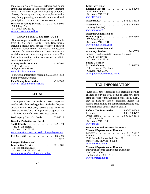<span id="page-14-0"></span>for diseases such as measles, tetanus and polio; ambulance services in case of emergency; inpatient hospital care; yearly eye examinations; children's glasses; laboratory and X-ray services; home health care; family planning; and certain dental work and prescriptions. For more information, contact

**Division of Family Services** .... 314-426-8401 9900 Page Ave. St. Louis, MO 63132

[www.dss.state.mo.us/dms](http://www.dss.state.mo.us/dms)

# **COUNTY HEALTH SERVICES**

 Numerous specialized health services are available from the St. Louis County Health Department, including chest X-rays, service to crippled children and adults, dental care for low-income families, and treatment for venereal disease. These services are available at area clinics throughout the county. For further information or the location of the clinic nearest you, contact

**County Health Division** .......... 615-0600 111 S. Meramec Clayton, MO 63105 [www.stlouisco.com/doh](http://www.stlouisco.com/doh)

 For special information regarding Missouri's Food Stamp Program, contact

**Food Stamp Information** ......... 426-9600 [www.dss.state.mo.us/dfs/fstamp](http://www.dss.state.mo.us/dfs/fstamp)

# **LEGAL**

 The Supreme Court has ruled that arrested people are entitled to legal counsel regardless of whether they can afford it or not. However, questions often come up about the various laws and regulations that govern our daily lives. For professional assistance contact:

| <b>Bankruptcy Court/St. Louis </b>                 | 539-2315 |
|----------------------------------------------------|----------|
| <b>Board of Probation and Parole</b>               |          |
| South County                                       | 842-7374 |
| 4452 S. Lindbergh                                  |          |
| St. Louis, MO 63127                                |          |
| www.corrections.state.mo.us/division/prob/prob.htm |          |
| FBI-St. Louis                                      | 589-2500 |
|                                                    | 241-5357 |
| <b>Lawyers Referral and</b>                        |          |
| Information Service                                | 621-6681 |
| 1 Metropolitan Square                              |          |
| St. Louis, MO 63102-2733                           |          |
| www.mobar.org/pamphlet/referral.htm                |          |

| <b>Legal Services of</b><br><b>Eastern Missouri</b><br>.<br>534-4200<br>4232 Forest Park<br>St. Louis, MO 63108<br>www.lsem.org                                              |
|------------------------------------------------------------------------------------------------------------------------------------------------------------------------------|
| Missouri Bar  573-635-4128                                                                                                                                                   |
| $\cdots \cdots \cdots \cdots \cdots 573-635-7400$<br>Missouri Bar<br>(Attorney discipline)<br>www.mobar.org                                                                  |
| Missouri Commission on<br><b>Human Rights</b> 340-7590<br>505 Washington<br>St. Louis, MO 63101<br>www.dolir.state.mo.us/hr                                                  |
| <b>Missouri Protection and</b><br><b>Advocacy Services</b> 961-0679<br>(Limited to people with disabilities - mental & physical)<br>2941 S. Brentwood<br>St. Louis, MO 63144 |
| <b>Public Defender -</b><br><b>St. Louis County</b> 615-4778<br>100 S. Central, 2nd floor<br>Clayton, MO 63105<br>www.publicdefender.state.mo.us                             |

# **TAX INFORMATION**

 Each year, new federal and state legislation brings changes in our tax laws. Some of these new laws bring tax relief to most, if not all of us. In any event, they do make the task of preparing income tax returns a challenging and sometimes frustrating one. For information and assistance, contact

| <b>Federal Tax Information <math>\ldots \ldots 800</math>-829-1040</b> |  |
|------------------------------------------------------------------------|--|
| Refunds  800-829-4477                                                  |  |
| Order Forms 800-829-3676                                               |  |
| 1222 Spruce St.                                                        |  |
| St. Louis, MO 63103                                                    |  |
| www.irs.gov                                                            |  |

**Income Tax and Business Assistance Missouri Department of Revenue**

Business . . . . . . . . . . . . . . . . . . . . . 314-877-0177 Income . . . . . . . . . . . . . . . . . . . . . . 314-877-0178 3256 Laclede Station Rod., Ste. 101 Maplewood, MO 63143-3753

[www.dor.state.mo.us/tax](http://www.dor.state.mo.us/tax)

### **Missouri Department of Revenue**

Individual Income Tax (written questions) P.O. Box 2200 Jefferson City, MO 65105 [www.dor.state.mo.us](http://www.dor.state.mo.us)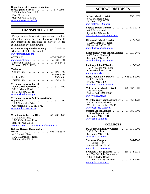<span id="page-15-0"></span>**Department of Revenue - Criminal Investigation Bureau** ............. 877-0393 3250 Laclede Station Rd. Deer Creek Center Mapelwood, MO 63143 [www.dor.state.mo.us/cib](http://www.dor.state.mo.us/cib)

# **TRANSPORTATION**

 For special assistance on transportation or to obtain information about our state highways, statewide law enforcement assistance or drivers' license examinations, try the following:

| <b>Bi-State Transportation Agency</b> 231-2345 |  |  |
|------------------------------------------------|--|--|
| (for bus schedules - Metrolink)                |  |  |
| www.metrostlouis.org                           |  |  |
| $AMTRAK$ 800-872-7245                          |  |  |
| www.amtrak.com  or 331-3301                    |  |  |
| Kirkwood Station 966-6475                      |  |  |
| Tickets: 550 S. 16 <sup>th</sup> St.           |  |  |

#### **Taxicabs:**

|  | or 993-8294 |
|--|-------------|
|  |             |
|  |             |

**Missouri Highway Patrol Troop C Headquarters** ............ 340-4000 599 S. Mason Road St. Louis, MO 63141 [www.mshp.dps.mo.gov](http://www.mshp.dps.mo.gov)

**Missouri Highway & Transportation Department** ..................... 340-4100 1590 Woodlake Drive Chesterfield, MO 63017-5712 [www.modot.state.mo.us](http://www.modot.state.mo.us)

**West County License Office** .... 636-230-0643 #12 Ballwin Plaza 15425 Manchester Road Ballwin, MO 63011 [revenue.stlouisco.com/licensing/](http://revenue.stlouisco.com/licensing/default.aspx)default.aspx

**Ballwin Drivers Examinations Office** ...................... 636-256-3951 #13 Ballwin Plaza 15425 Manchester Road Ballwin, MO 63011

# **SCHOOL DISTRICTS**

| <b>Affton School District</b><br>$\ldots$ 638-8770<br>8701 Mackenzie Rd.<br>St. Louis, MO 63123<br>www.affton.k12.mo.us                            |
|----------------------------------------------------------------------------------------------------------------------------------------------------|
| <b>Bayless School District</b><br>$\ldots$ . 631-2244<br>4530 Weber Road<br>St. Louis, MO 63123<br>info.csd.org/baylesshome.html                   |
| <b>Kirkwood School District</b><br>. 213-6101<br>11289 Manchester Road<br>Kirkwood, MO 63122<br>www.kirkwood.k12.mo.us                             |
| Lindbergh R-VIII School District  729-2480<br>4900 South Lindbergh<br>St. Louis, MO 63126<br>www.lindbergh.k12.mo.us                               |
| $\ldots \ldots \ldots \ldots 415-8100$<br><b>Parkway School District</b><br>455 N. Woods Mill Road<br>Chesterfield, MO 63017<br>www.pkwy.k12.mo.us |
| Rockwood School District<br>636-938-2200<br>111 E. North St.<br>Eureka, MO 63025<br>www.rockwood.k12.mo.us                                         |
| <b>Valley Park School District</b><br>636-932-3500<br>One Main Street<br>Valley Park, MO 63088<br>www.vp.k12.mo.us                                 |
| Webster Groves School District<br>961-1233<br>400 E. Lockwood Ave.<br>Webster Groves, MO 63119<br>www.webster.k12.mo.us                            |
| <b>Special School District</b><br>989-8100<br>12110 Clayton Road<br>St. Louis, MO 63131<br>www.ssd.k12.mo.us                                       |

## **COLLEGES**

| <b>St. Louis Community College</b> 539-5000<br>300 S. Broadway<br>St. Louis, MO 63102<br>www.stlcc.cc.mo.us        |          |
|--------------------------------------------------------------------------------------------------------------------|----------|
| Meramec Campus<br>11333 Big Bend<br>Kirkwood, MO 63122<br>www.stlcc.cc.mo.us/mc                                    | 984-7500 |
| <b>Principia College, Elsah, IL</b> $\ldots$ (618) 374-2131<br>c/o The Principia Corporation<br>13201 Clayton Road |          |
| St. Louis, MO 63131-1099<br>$\ldots \ldots$ 434-2100<br>www.prin.edu/college                                       |          |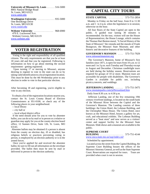<span id="page-16-0"></span>**University of Missouri-St. Louis** ...... 516-5000 8001 Natural Bridge Road St. Louis, MO 63121 [www.umsl.edu](http://www.umsl.edu)

**Washington University** ............. 935-5000 One Brookings Drive St. Louis, MO 63130 [www.wustl.edu](http://www.wustl.edu)

**Webster University** ............... 968-6900 470 E. Lockwood Ave. Webster Groves, MO 63119 [www.webster.edu](http://www.webster.edu)

# **VOTER REGISTRATION**

 Voting is the right and responsibility of all qualified citizens. The only requirements are that you be at least 18 years old and that you be registered. Following is information on how to go about meeting the second requirement - getting registered.

 Upon turning 17 or moving to Missouri, anyone desiring to register to vote in the state can do so by taking valid identification to a local registration location. This must be done by the 4th Wednesday prior to any election in order to vote in that particular election.

After becoming 18 and registering, you're eligible to vote in any election.

 To obtain a list of the registration locations nearest you, contact the St. Louis County Board of Election Commissioners at 951-0100, or check any of the following places in your neighborhood.

-- local library

-- city hall or

-- local school district office

 If the need should arise for you to vote by absentee ballot, you can do so by mail or in person or a relative or guardian may apply for you at the county election board office, 12 Sunnen Drive, Suite 126, St. Louis, MO 63143.

 Absentee ballots may be obtained if a person is absent from the county on election day, ill or disabled, has religious beliefs or practices preventing voting in person, is employed by an election authority or is in the armed forces.

 Once you've applied for and received the absentee ballot, be sure to fill out all information on the envelope provided. The ballot then must be sent by mail or delivered in person to the election authority.

# **CAPITAL CITY TOURS**

#### **STATE CAPITOL** ........... 573-751-2854

 Monday to Friday on the half hour, from 8 to 11:30 a.m. and 1 to 4 p.m. when the legislature is in session; otherwise on the hour.

 All four floors of the State Capitol are open to the public. A guided tour lasting 30 minutes is recommended. On the tour, visitors will see the House of Representatives; the House Lounge, which contains the Thomas Hart Benton mural, ''A Social History of the State of Missouri;'' the rotunda and the murals of Frank Brangwyn; the Missouri State Museum; and other historic and decorative features of the building.

#### **GOVERNOR'S MANSION** .... 573-751-7929 [www.missourimansion.org](http://www.missourimansion.org)

 The Governor's Mansion, home of Missouri's first families since 1871, is open for tours from 10 a.m. to 12 noon and 1 to 3 p.m. each Tuesday and Thursday except in August and December. Christmas candlelight tours are held during the holiday season. Reservations are required for groups of 10 or more. Mansion tours are accessible for people with disabilities. The Governor's Garden is available for public use, including picnics,concerts, and weddings.

#### **JEFFERSON LANDING** ...... 573-751-3475 [www.mostateparks.com/jeffersonland.htm](http://www.mostateparks.com/jeffersonland.htm)

Daily from 8:30 a.m. to 4:30 p.m.

 Jefferson Landing, one of the few remaining 19th century riverfront landings, is located on the south bank of the Missouri River between the Capitol and the Governor's Mansion. The Landing consists of three buildings: the Union Hotel, the Lohman Building, and the Christopher Maus House. The Union Hotel, once known as the Missouri Hotel, houses a gallery for art, craft, and educational exhibits. The Lohman Building served as a ''boat store'' and now serves as a visitors' center and support facility for the Missouri State Museum. Slide shows and a museum are available to the public.

#### **SUPREME COURT**

**BUILDING** .................. 573-751-4144 [www.osca.state.mo.us/sup/index.nsf](http://www.osca.state.mo.us/sup/index.nsf)

# Scheduled by appointment.

 Located across the street from the Capitol Building, the Supreme Court Building houses the offices of the Missouri Attorney General, as well as the State Supreme Court. Reservations are required for tours. Tours are provided when court is not in session.